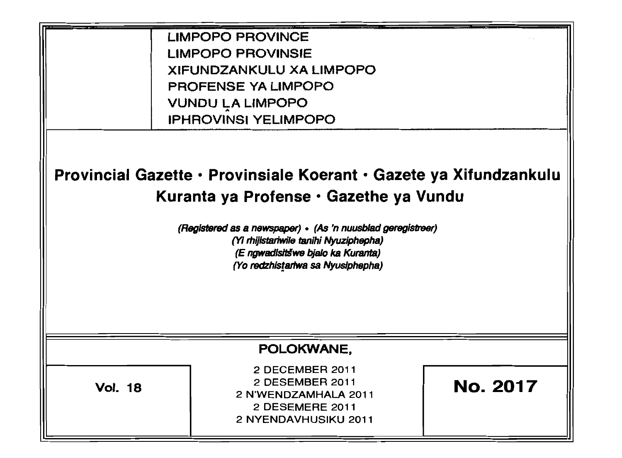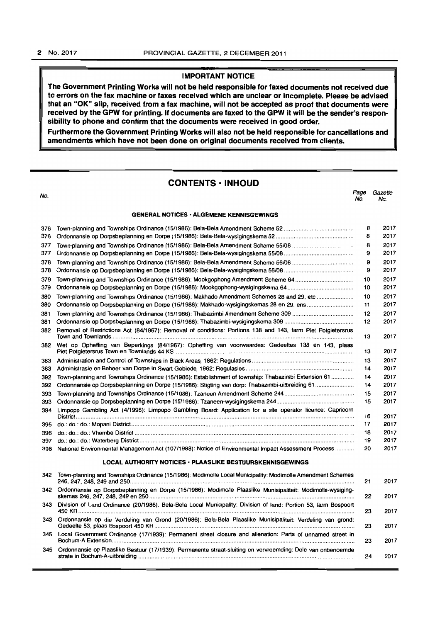# **IMPORTANT NOTICE**

**The Government Printing Works will not be held responsible for faxed documents not received due to errors on the fax machine or faxes received which are unclear or incomplete. Please be advised that an "OK" slip, received from a fax machine, will not be accepted as proof that documents were received by the GPW for printing. If documents are faxed to the GPW it will be the sender's responsibility to phone and confirm that the documents were received in good order.** 

**Furthermore the Government Printing Works will also not be held responsible for cancellations and amendments which have not been done on original documents received from clients.** 

# **CONTENTS • INHOUD**

| No. |                                                                                                                 | Page<br>No. | Gazette<br>No. |
|-----|-----------------------------------------------------------------------------------------------------------------|-------------|----------------|
|     | <b>GENERAL NOTICES · ALGEMENE KENNISGEWINGS</b>                                                                 |             |                |
| 376 |                                                                                                                 | 8           | 2017           |
| 376 |                                                                                                                 | 8           | 2017           |
| 377 |                                                                                                                 | 8           | 2017           |
| 377 |                                                                                                                 | 9           | 2017           |
| 378 |                                                                                                                 | 9           | 2017           |
| 378 |                                                                                                                 | 9           | 2017           |
| 379 | Town-planning and Townships Ordinance (15/1986): Mookgophong Amendment Scheme 64                                | 10          | 2017           |
| 379 |                                                                                                                 | 10          | 2017           |
| 380 | Town-planning and Townships Ordinance (15/1986): Makhado Amendment Schemes 28 and 29, etc                       | 10          | 2017           |
| 380 | Ordonnansie op Dorpsbeplanning en Dorpe (15/1986): Makhado-wysigingskemas 28 en 29, ens                         | 11          | 2017           |
| 381 |                                                                                                                 | 12          | 2017           |
| 381 |                                                                                                                 | 12          | 2017           |
| 382 | Removal of Restrictions Act (84/1967): Removal of conditions: Portions 138 and 143, farm Piet Potgietersrus     | 13          | 2017           |
|     | 382 Wet op Opheffing van Beperkings (84/1967): Opheffing van voorwaardes: Gedeeltes 138 en 143, plaas           | 13          | 2017           |
| 383 |                                                                                                                 | 13          | 2017           |
| 383 |                                                                                                                 | 14          | 2017           |
| 392 | Town-planning and Townships Ordinance (15/1986): Establishment of township: Thabazimbi Extension 61             | 14          | 2017           |
| 392 |                                                                                                                 | 14          | 2017           |
| 393 |                                                                                                                 | 15          | 2017           |
| 393 |                                                                                                                 | 15          | 2017           |
| 394 | Limpopo Gambling Act (4/1996): Limpopo Gambling Board: Application for a site operator licence: Capricorn       | 16          | 2017           |
|     |                                                                                                                 | 17          | 2017           |
|     |                                                                                                                 | 18          | 2017           |
| 397 |                                                                                                                 | 19          | 2017           |
| 398 | National Environmental Management Act (107/1988): Notice of Environmental Impact Assessment Process             | 20          | 2017           |
|     | LOCAL AUTHORITY NOTICES · PLAASLIKE BESTUURSKENNISGEWINGS                                                       |             |                |
| 342 | Town-planning and Townships Ordinance (15/1986): Modimolle Local Municipality: Modimolle Amendment Schemes      | 21          | 2017           |
|     | 342 Ordonnansie op Dorpsbeplanning en Dorpe (15/1986): Modimolle Plaaslike Munisipaliteit: Modimolle-wysiging-  | 22          | 2017           |
| 343 | Division of Land Ordinance (20/1986): Bela-Bela Local Municipality: Division of land: Portion 53, farm Bospoort | 23          | 2017           |
| 343 | Ordonnansie op die Verdeling van Grond (20/1986): Bela-Bela Plaaslike Munisipaliteit: Verdeling van grond:      | 23          | 2017           |
|     | 345 Local Government Ordinance (17/1939): Permanent street closure and alienation: Parts of unnamed street in   | 23          | 2017           |
| 345 | Ordonnansie op Plaaslike Bestuur (17/1939): Permanente straat-sluiting en vervreemding: Dele van onbenoemde     | 24          | 2017           |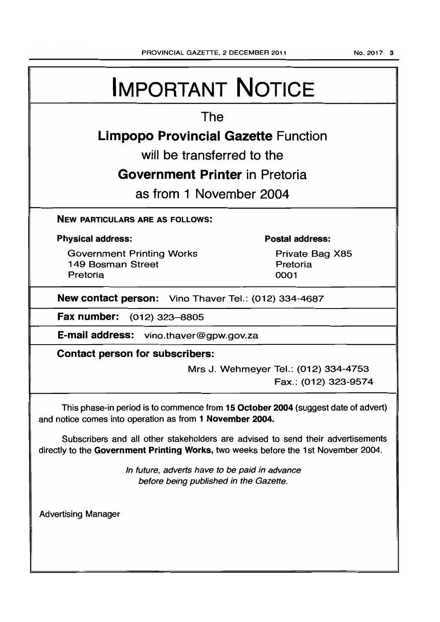# The

# Limpopo Provincial Gazette Function

will be transferred to the

# Government Printer in Pretoria

as from 1 November 2004

NEW PARTICULARS ARE AS FOLLOWS:

# Physical address:

Government Printing Works 149 Bosman Street Pretoria

# Postal address:

Private Bag X85 Pretoria 0001

New contact person: Vino Thaver Tel.: (012) 334-4687

Fax number: (012) 323-8805

E-mail address: vino.thaver@gpw.gov.za

Contact person for subscribers:

Mrs J. Wehmeyer Tel.: (012) 334-4753 Fax.: (012) 323-9574

This phase-in period is to commence from 15 October 2004 (suggest date of advert) and notice comes into operation as from 1 November 2004.

Subscribers and all other stakeholders are advised to send their advertisements directly to the Government Printing Works, two weeks before the 1st November 2004.

> In future, adverts have to be paid in advance before being published in the Gazette.

Advertising Manager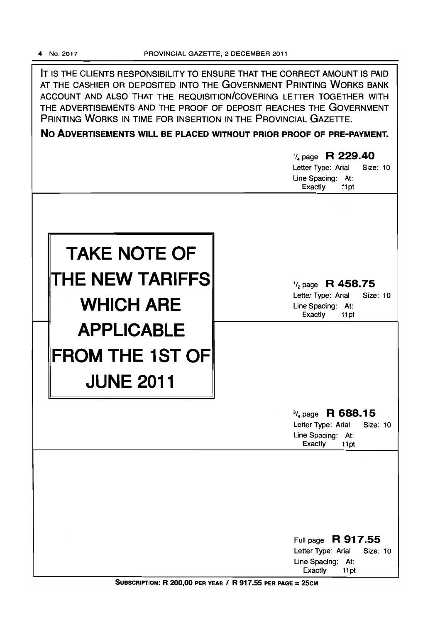**IT** IS THE CLIENTS RESPONSIBILITY TO ENSURE THAT THE CORRECT AMOUNT IS PAID AT THE CASHIER OR DEPOSITED INTO THE GOVERNMENT PRINTING WORKS BANK ACCOUNT AND ALSO THAT THE REQUISITION/COVERING LETTER TOGETHER WITH THE ADVERTISEMENTS AND THE PROOF OF DEPOSIT REACHES THE GOVERNMENT PRINTING WORKS IN TIME FOR INSERTION IN THE PROVINCIAL GAZETTE.

**No ADVERTISEMENTS WILL BE PLACED WITHOUT PRIOR PROOF OF PRE-PAYMENT.** 

|                                                                 | 1/4 page R 229.40<br>Letter Type: Arial<br>Size: 10<br>Line Spacing: At:<br>Exactly<br>11pt           |
|-----------------------------------------------------------------|-------------------------------------------------------------------------------------------------------|
| <b>TAKE NOTE OF</b><br>THE NEW TARIFFS<br><b>WHICH ARE</b>      | $\frac{1}{2}$ page R 458.75<br>Letter Type: Arial<br>Size: 10<br>Line Spacing: At:<br>Exactly<br>11pt |
| <b>APPLICABLE</b><br><b>FROM THE 1ST OF</b><br><b>JUNE 2011</b> |                                                                                                       |
|                                                                 | $\frac{3}{4}$ page R 688.15<br>Letter Type: Arial<br>Size: 10<br>Line Spacing: At:<br>Exactly<br>11pt |
|                                                                 | Full page R 917.55<br>Letter Type: Arial<br>Size: 10                                                  |
|                                                                 | Line Spacing: At:<br><b>Exactly</b><br>11pt                                                           |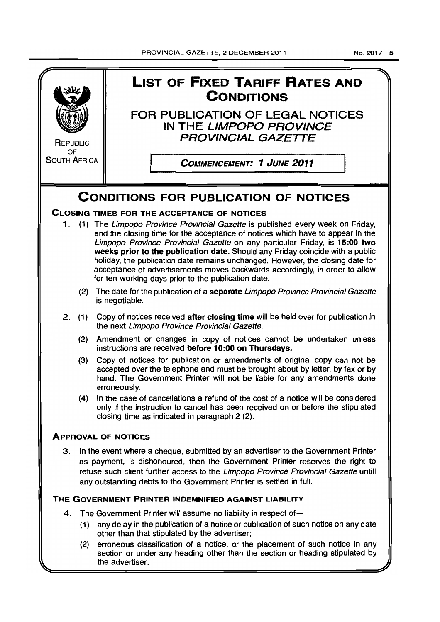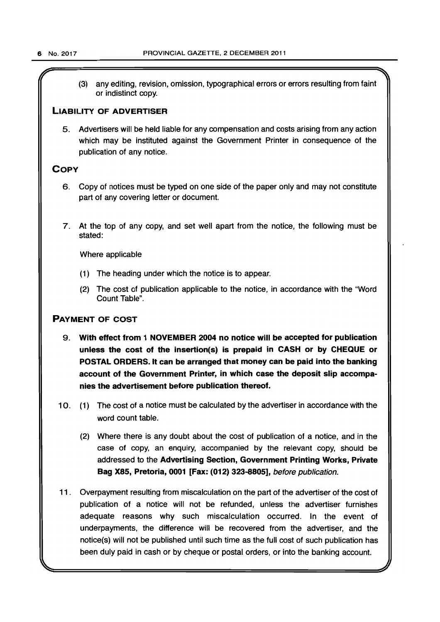$\overline{r}$  and  $\overline{r}$  and  $\overline{r}$  and  $\overline{r}$  and  $\overline{r}$  are  $\overline{r}$  and  $\overline{r}$  and  $\overline{r}$  and  $\overline{r}$  and  $\overline{r}$  and  $\overline{r}$  and  $\overline{r}$  and  $\overline{r}$  and  $\overline{r}$  and  $\overline{r}$  and  $\overline{r}$  and  $\overline{r}$  and (3) any editing, revision, omission, typographical errors or errors resulting from faint or indistinct copy.

# LIABILITY OF ADVERTISER

5. Advertisers will be held liable for any compensation and costs arising from any action which may be instituted against the Government Printer in consequence of the publication of any notice.

# **COPY**

- 6. Copy of notices must be typed on one side of the paper only and may not constitute part of any covering letter or document.
- 7. At the top of any copy, and set well apart from the notice, the following must be stated:

Where applicable

- (1) The heading under which the notice is to appear.
- (2) The cost of publication applicable to the notice, in accordance with the "Word Count Table".

# PAYMENT OF COST

- 9. With effect from 1 NOVEMBER 2004 no notice will be accepted for publication unless the cost of the insertion(s) is prepaid in CASH or by CHEQUE or POSTAL ORDERS. It can be arranged that money can be paid into the banking account of the Government Printer, in which case the deposit slip accompanies the advertisement before publication thereof.
- 10. (1) The cost of a notice must be calculated by the advertiser in accordance with the word count table.
	- (2) Where there is any doubt about the cost of publication of a notice, and in the case of copy, an enquiry, accompanied by the relevant copy, should be addressed to the Advertising Section, Government Printing Works, Private Bag X85, Pretoria, 0001 [Fax: (012) 323-8805], before publication.
- 11 . Overpayment resulting from miscalculation on the part of the advertiser of the cost of publication of a notice will not be refunded, unless the advertiser furnishes adequate reasons why such miscalculation occurred. In the event of underpayments, the difference will be recovered from the advertiser, and the notice(s) will not be published until such time as the full cost of such publication has been duly paid in cash or by cheque or postal orders, or into the banking account.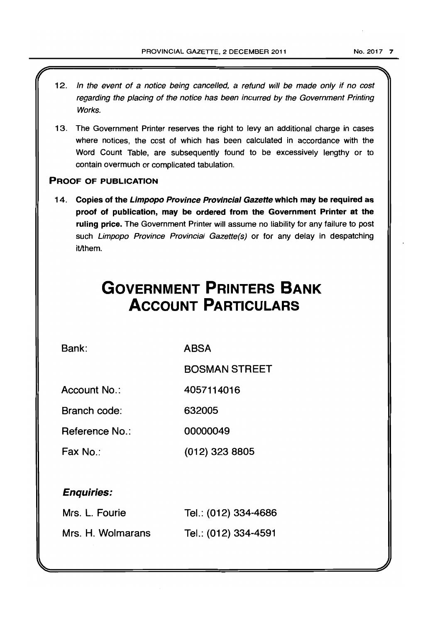12. In the event of a notice being cancelled, a refund will be made only if no cost regarding the placing of the notice has been incurred by the Government Printing Works. 13. The Government Printer reserves the right to levy an additional charge in cases where notices, the cost of which has been calculated in accordance with the Word Count Table, are subsequently found to be excessively lengthy or to contain overmuch or complicated tabulation. PROOF OF PUBLICATION 14. Copies of the Limpopo Province Provincial Gazette which may be required as proof of publication, may be ordered from the Government Printer at the ruling price. The Government Printer will assume no liability for any failure to post such Limpopo Province Provincial Gazette(s) or for any delay in despatching it/them. **GOVERNMENT PRINTERS BANK ACCOUNT PARTICULARS** 

Bank:

ABSA

BOSMAN STREET

Account No.: 4057114016

Branch code: 632005

Reference No.: 00000049

Fax No.: (012) 323 8805

# Enquiries:

| Mrs. L. Fourie    | Tel.: (012) 334-4686 |
|-------------------|----------------------|
| Mrs. H. Wolmarans | Tel.: (012) 334-4591 |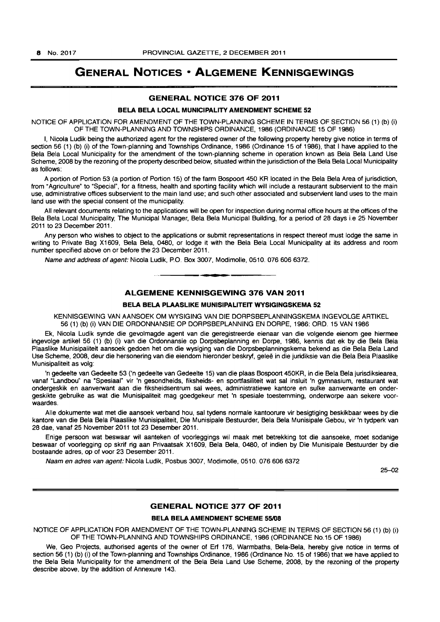# **GENERAL NOTICES • ALGEMENE KENNISGEWINGS**

# **GENERAL NOTICE 376 OF 2011**

# **BELA BELA LOCAL MUNICIPALITY AMENDMENT SCHEME 52**

NOTICE OF APPLICATION FOR AMENDMENT OF THE TOWN-PLANNING SCHEME IN TERMS OF SECTION 56 (1) (b) (i) OF THE TOWN-PLANNING AND TOWNSHIPS ORDINANCE, 1986 (ORDINANCE 15 OF 1986)

I, Nicola Ludik being the authorized agent for the registered owner of the following property hereby give notice in terms of section 56 (1) (b) (i) of the Town-planning and Townships Ordinance, 1986 (Ordinance 15 of 1986), that I have applied to the Bela Bela Local Municipality for the amendment of the town-planning scheme in operation known as Bela Bela Land Use Scheme, 2008 by the rezoning of the property described below, situated within the jurisdiction of the Bela Bela Local Municipality as follows:

A portion of Portion 53 (a portion of Portion 15) of the farm Bospoort 450 KR located in the Bela Bela Area of jurisdiction, from "Agriculture" to "Special", for a fitness, health and sporting facility which will include a restaurant subservient to the main use, administrative offices subservient to the main land use; and such other associated and subservient land uses to the main land use with the special consent of the municipality.

All relevant documents relating to the applications will be open for inspection during normal office hours at the offices of the Bela Bela Local Municipality, The Municipal Manager, Bela Bela Municipal Building, for a period of 28 days i.e 25 November 2011 to 23 December 2011 .

Any person who wishes to object to the applications or submit representations in respect thereof must lodge the same in writing to Private Bag X1609, Bela Bela, 0480, or lodge it with the Bela Bela Local Municipality at its address and room number specified above on or before the 23 December 2011.

Name and address of agent: Nicola Ludik, PO. Box 3007, Modimolle, 0510. 0766066372 . . **-.** 

# **ALGEMENE KENNISGEWING 376 VAN 2011**

# **BELA BELA PLAASLIKE MUNISIPALITEIT WYSIGINGSKEMA 52**

KENNISGEWING VAN AANSOEK OM WYSIGING VAN DIE DORPSBEPLANNINGSKEMA INGEVOLGE ARTIKEL 56 (1) (b) (i) VAN DIE ORDONNANSIE OP DORPSBEPLANNING EN DORPE, 1986: ORD. 15 VAN 1986

Ek, Nicola Ludik synde die gevolmagde agent van die geregistreerde eienaar van die volgende eienom gee hiermee ingevolge artikel 56 (1) (b) (i) van die Ordonnansie op Dorpsbeplanning en Dorpe, 1986, kennis dat ek by die Bela Bela Plaaslike Munisipaliteit aansoek gedoen het om die wysiging van die Dorpsbeplanningskema bekend as die Bela Bela Land Use Scheme, 2008, deur die hersonering van die eiendom hieronder beskryf, gelee in die juridiksie van die Bela Bela Plaaslike Munisipaliteit as volg:

'n gedeelte van Gedeelte 53 ('n gedeelte van Gedeelte 15) van die plaas BoSpoort 450KR, in die Bela Bela jurisdiksiearea, vanaf "Landbou" na 'Spesiaal" vir 'n gesondheids, fiksheids- en sportfasiliteit wat sal insluit 'n gymnasium, restaurant wat ondergeskik en aanverwant aan die fiksheidsentrum sal wees, administratiewe kantore en sulke aanverwante en ondergeskikte gebruike as wat die Munisipaliteit mag goedgekeur met 'n spesiale toestemming, onderworpe aan sekere voorwaardes.

Alle dokumente wat met die aansoek verband hou, sal tydens normale kantoorure vir besigtiging beskikbaar wees by die kantore van die Bela Bela Plaaslike Munisipaliteit, Die Munisipale Bestuurder, Bela Bela Munisipale Gebou, vir 'n tydperk van 28 dae, vanaf 25 November 2011 tot 23 Desember 2011.

Enige persoon wat beswaar wil aanteken of voorleggings wil maak met betrekking tot die aansoeke, moet sodanige beswaar of voorlegging op skrif rig aan Privaatsak X1609, Bela Bela, 0480, of indien by Die Munisipale Bestuurder by die bostaande adres, op of voor 23 Desember 2011.

Naam en adres van agent: Nicola Ludik, Posbus 3007, Modimolle, 0510. 076 606 6372

 $25 - 02$ 

# **GENERAL NOTICE 377 OF 2011**

### **BELA BELA AMENDMENT SCHEME 55/08**

NOTICE OF APPLICATION FOR AMENDMENT OF THE TOWN-PLANNING SCHEME IN TERMS OF SECTION 56 (1) (b) (i) OF THE TOWN-PLANNING AND TOWNSHIPS ORDINANCE, 1986 (ORDINANCE No.15 OF 1986)

We, Geo Projects, authorised agents of the owner of Erf 176, Warmbaths, Bela-Bela, hereby give notice in terms of section 56 (1) (b) (i) of the Town-planning and Townships Ordinance, 1986 (Ordinance No. 15 of 1986) that we have applied to the Bela Bela Municipality for the amendment of the Bela Bela Land Use Scheme, 2008, by the rezoning of the property describe above, by the addition of Annexure 143.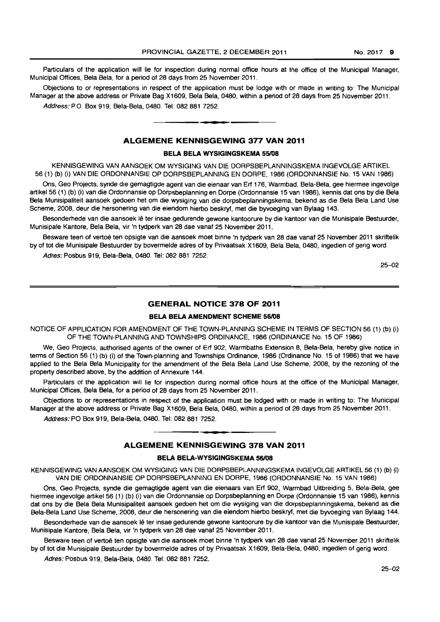Particulars of the application will lie for inspection during normal office hours at the office of the Municipal Manager, Municipal Offices, Bela Bela, for a period of 28 days from 25 November 2011.

Objections to or representations in respect of the application must be lodge with or made in writing to: The Municipal Manager at the above address or Private Bag X1609, Bela Bela, 0480, within a period of 28 days from 25 November 2011. Address: P.O. Box 919, Bela-Bela, 0480. Tel: 082 881 7252.

# **ALGEMENE KENNISGEWING 377 VAN 2011**

• **\_ 1** 

### **BELA BELA WYSIGINGSKEMA 55/08**

KENNISGEWING VAN AANSOEK OM WYSIGING VAN DIE DORPSBEPLANNINGSKEMA INGEVOLGE ARTIKEL 56 (1) (b) (i) VAN DIE ORDONNANSIE OP DORPSBEPLANNING EN DORPE, 1986 (ORDONNANSIE No. 15 VAN 1986)

Ons, Geo Projects, synde die gemagtigde agent van die eienaar van Erf 176. Warmbad, Bela-Bela. gee hiermee ingevolge artikel56 (1) (b) (i) van die Ordonnansie op Dorpsbeplanning en Dorpe (Ordonnansie 15 van 1986), kennis dat ons by die Bela Bela Munisipaliteit aansoek gedoen het om die wysiging van die dorpsbeplanningskema, bekend as die Bela Bela Land Use Scheme, 2008, deur die hersonering van die eiendom hierbo beskryf, met die byvoeging van Bylaag 143.

Besonderhede van die aansoek lê ter insae gedurende gewone kantoorure by die kantoor van die Munisipale Bestuurder, Munisipale Kantore, Bela Bela, vir 'n tydperk van 28 dae vanaf 25 November 2011.

Besware teen of vertoë ten opsigte van die aansoek moet binne 'n tydperk van 28 dae vanaf 25 November 2011 skriftelik by of tot die Munisipale Bestuurder by bovermelde adres of by Privaatsak X1609, Bela Bela, 0480, ingedien of gerig word.

Adres: Posbus 919, Bela-Bela, 0480. Tel: 082 681 7252.

25-02

# **GENERAL NOTICE 378 OF 2011**

# **BELA BELA AMENDMENT SCHEME 56/08**

NOTICE OF APPLICATION FOR AMENDMENT OF THE TOWN-PLANNING SCHEME IN TERMS OF SECTION 56 (1) (b) (i) OF THE TOWN-PLANNING AND TOWNSHIPS ORDINANCE, 1986 (ORDINANCE No. 15 OF 1986)

We, Geo Projects, authorised agents of the owner of Erf 902, Warmbaths Extension 8, Bela-Bela, hereby give notice in terms of Section 56 (1) (b) (i) of the Town-planning and Townships Ordinance, 1986 (Ordinance No. 15 of 1986) that we have applied to the Bela Bela Municipality for the amendment of the Bela Bela Land Use Scheme, 2008, by the rezoning of the property described above, by the addition of Annexure 144.

Particulars of the application will lie for inspection during normal office hours at the office of the Municipal Manager, Municipal Offices, Bela Bela, for a period of 28 days from 25 November 2011.

Objections to or representations in respect of the application must be lodged with or made in writing to: The Municipal Manager at the above address or Private Bag X1609, Bela Bela, 0480, within a period of 28 days from 25 November 2011.

Address: PO Box 919, Bela-Bela. 0480. Tel: 082 881 7252.

# **- . ALGEMENE KENNISGEWING 378 VAN 2011**

# **BELA BELA-WYSIGINGSKEMA 56/08**

KENNISGEWING VAN AANSOEK OM WYSIGING VAN DIE DORPSBEPLANNINGSKEMA INGEVOLGE ARTIKEL 56 (1) (b) (i) VAN DIE ORDONNANSIE OP DORPSBEPLANNING EN DORPE, 1986 (ORDONNANSIE No. 15 VAN 1986)

Ons, Geo Projects, synde die gemagtigde agent van die eienaars van Erf 902, Warmbad Uitbreiding 5, Bela-Bela, gee hiermee ingevolge artikel 56 (1) (b) (i) van die Ordonnansie op Dorpsbeplanning en Dorpe (Ordonnansie 15 van 1986), kennis dat ons by die Bela Bela Munisipaliteit aansoek gedoen het om die wysiging van die dorpsbeplanningskema, bekend as die Bela-Bela Land Use Scheme, 2008, deur die hersonering van die eiendom hierbo beskryf, met die byvoeging van Bylaag 144.

Besonderhede van die aansoek lê ter insae gedurende gewone kantoorure by die kantoor van die Munisipale Bestuurder, Munisipale Kantore, Bela Bela, vir 'n tydperk van 28 dae vanaf 25 November 2011.

Besware teen of vertoë ten opsigte van die aansoek moet binne 'n tydperk van 28 dae vanaf 25 November 2011 skriftelik by of tot die Munisipale Bestuurder by bovermelde adres of by Privaatsak X1609, Bela-Bela, 0480, ingedien of gerig word.

Adres: Posbus 919, Bela-Bela, 0480. Tel: 082881 7252.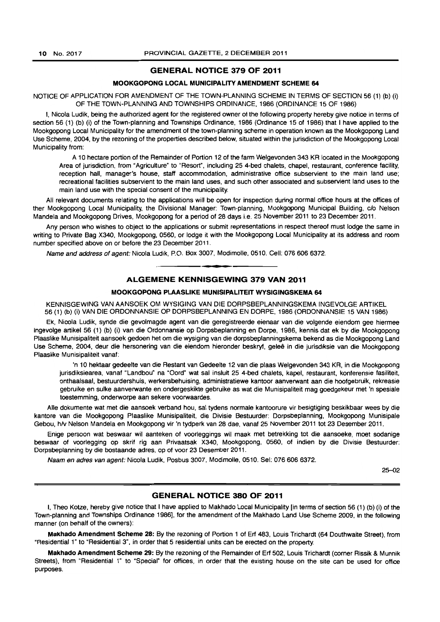# GENERAL NOTICE 379 OF 2011

# MOOKGOPONG LOCAL MUNICIPALITY AMENDMENT SCHEME 64

NOTICE OF APPLICATION FOR AMENDMENT OF THE TOWN-PLANNING SCHEME IN TERMS OF SECTION 56 (1) (b) (i) OF THE TOWN-PLANNING AND TOWNSHIPS ORDINANCE, 1986 (ORDINANCE 15 OF 1986)

I, Nicola Ludik, being the authorized agent for the registered owner of the following property hereby give notice in terms of section 56 (1) (b) (i) of the Town-planning and Townships Ordinance, 1986 (Ordinance 15 of 1986) that I have applied to the Mookgopong Local Municipality for the amendment of the town-planning scheme in operation known as the Mookgopong Land Use Scheme, 2004, by the rezoning of the properties described below, situated within the jurisdiction of the Mookgopong Local Municipality from:

A 10 hectare portion of the Remainder of Portion 12 ot the farm Welgevonden 343 KR located in the Mookgopong Area of jurisdiction, from "Agriculture" to "Resort", including 25 4-bed chalets, chapel. restaurant, conference facility, reception hall, manager's house, staff accommodation, administrative office subservient to the main land use; recreational facilities subservient to the main land uses, and such other associated and subservient land uses to the main land use with the special consent of the municipality.

All relevant documents relating to the applications will be open tor inspection during normal office hours at the offices of ther Mookgopong Local Municipality, the Divisional Manager: Town-planning, Mookgopong Municipal Building, c/o Nelson Mandela and Mookgopong Drives, Mookgopong for a period of 28 days i.e. 25 November 2011 to 23 December 2011.

Any person who wishes to object to the applications or submit representations in respect thereof must lodge the same in writing to Private Bag X340, Mookgopong, 0560, or lodge it with the Mookgopong Local Municipality at its address and room number specified above on or before the 23 December 2011 .

Name and address of agent: Nicola Ludik, P.O. Box 3007, Modimolle, 0510. Cell: 076 606 6372 .

# ALGEMENE KENNISGEWING 379 VAN 2011

• **\_ er** 

# MOOKGOPONG PLAASLIKE MUNISIPALITEIT WYSIGINGSKEMA 64

KENNISGEWING VAN AANSOEK OM WYSIGING VAN DIE DORPSBEPLANNINGSKEMA INGEVOLGE ARTIKEL 56 (1) (b) (i) VAN DIE ORDONNANSIE OP DORPSBEPLANNING EN DORPE, 1986 (ORDONNANSIE 15 VAN 1986)

Ek, Nicola Ludik, synde die gevolmagde agent van die geregistreerde eienaar van die volgende eiendom gee hiermee ingevolge artikel 56 (1) (b) (i) van die Ordonnansie op Dorpsbeplanning en Dorpe, 1986, kennis dat ek by die Mookgopong Plaaslike Munisipaliteit aansoek gedoen het om die wysiging van die dorpsbeplanningskema bekend as die Mookgopong Land Use Scheme, 2004, deur die hersonering van die eiendom hieronder beskryf, gelee in die jurisdiksie van die Mookgopong Plaaslike Munisipaliteit vanaf:

'n 10 hektaar gedeelte van die Restant van Gedeelte 12 van die plaas Welgevonden 343 KR, in die Mookgopong jurisdiksiearea, vanaf "Landbou" na 'Oord" wat sal insluit 25 4-bed chalets, kapel, restaurant, konferensie fasiliteit, onthaalsaal, bestuurdershuis, werkersbehuising, administratiewe kantoor aanverwant aan die hoofgebruik, rekreasie gebruike en sulke aanverwante en ondergeskikte gebruike as wat die Munisipaliteit mag goedgekeur met 'n spesiale toestemming, onderworpe aan sekere voorwaardes.

Aile dokumente wat met die aansoek verband hou, sal tydens normale kantoorure vir besigtiging beskikbaar wees by die kantore van die Mookgopong Plaaslike Munisipaliteit, die Divisie Bestuurder: Dorpsbeplanning, Mookgopong Munisipale Gebou, hlv Nelson Mandela en Mookgopong vir 'n tydperk van 28 dae, vanaf 25 November 2011 tot 23 Desember 2011.

Enige persoon wat beswaar wit aanteken of voorleggings wit maak met betrekking tot die aansoeke, moet sodanige beswaar of voorlegging op skrif rig aan Privaatsak X340, Mookgopong, 0560, of indien by die Divisie Bestuurder: Dorpsbeplanning by die bostaande adres, op of voor 23 Desember 2011.

Naam en adres van agent: Nicola Ludik, Posbus 3007, Modimolle, 0510, Sel: 076 606 6372.

25-02

# GENERAL NOTICE 380 OF 2011

I. Theo Kotze, hereby give notice that I have applied to Makhado Local Municipality [in terms of section 56 (1) (b) (i) of the Town-planning and Townships Ordinance 1986], for the amendment of the Makhado Land Use Scheme 2009, in the following manner (on behalf of the owners):

Makhado Amendment Scheme 28: By the rezoning of Portion 1 of Erf 483, Louis Trichardt (64 Douthwaite Street), from "Residential 1" to "Residential 3", in order that 5 residential units can be erected on the property.

Makhado Amendment Scheme 29: By the rezoning of the Remainder of Erf 502, Louis Trichardt (corner Rissik & Munnik Streets), from "Residential 1" to "Special" for offices, in order that the existing house on the site can be used for office purposes.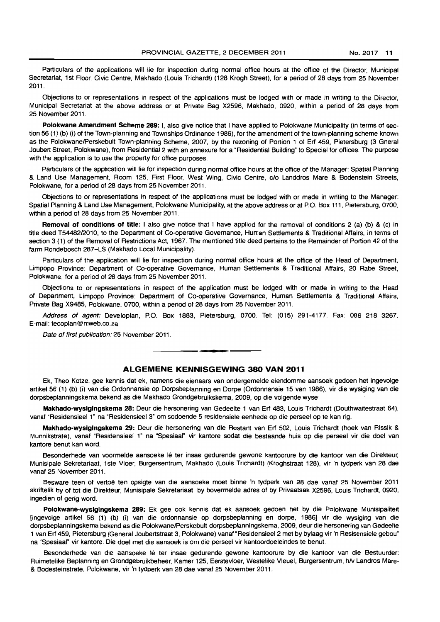Particulars of the applications will lie for inspection during normal office hours at the office of the Director, Municipal Secretariat, 1st Floor, Civic Centre, Makhado (Louis Trichardt) (128 Krogh Street), for a period of 28 days from 25 November 2011.

Objections to or representations in respect of the applications must be lodged with or made in writing to the Director, Municipal Secretariat at the above address or at Private Bag X2596, Makhado, 0920, within a period of 28 days from 25 November 2011.

Polokwane Amendment Scheme 289: I, also give notice that I have applied to Polokwane Municipality (in terms of section 56 (1) (b) (i) of the Town-planning and Townships Ordinance 1986), for the amendment of the town-planning scheme known as the PolokwanelPerskebult Town-planning Scheme, 2007, by the rezoning of Portion 1 of Erf 459, Pietersburg (3 Gneral Joubert Street, Polokwane), from Residential 2 with an annexure for a "Residential Building" to Special for offices. The purpose with the application is to use the property for office purposes.

Particulars of the application will lie for inspection during normal office hours at the office of the Manager: Spatial Planning & Land Use Management, Room 125, First Floor, West Wing, Civic Centre, c/o Landdros Mare & Bodenstein Streets, Polokwane, for a period of 28 days from 25 November 2011.

Objections to or representations in respect of the applications must be lodged with or made in writing to the Manager: Spatial Planning & Land Use Management. Polokwane Municipality. at the above address or at P.O. Box 111, Pietersburg, 0700, within a period of 28 days from 25 November 2011.

Removal of conditions of title: I also give notice that I have applied for the removal of conditions 2 (a) (b) & (c) in title deed T54482/2010, to the Department of Co-operative Governance. Human Settlements & Traditional Affairs, in terms of section 3 (1) of the Removal of Restrictions Act, 1967. The mentioned title deed pertains to the Remainder of Portion 42 of the farm Rondebosch 287-LS (Makhado Local Municipality).

Particulars of the application will lie for inspection during normal office hours at the office of the Head of Department, Limpopo Province: Department of Co-operative Governance, Human Settlements & Traditional Affairs, 20 Rabe Street, Polokwane. for a period of 28 days from 25 November 2011.

Objections to or representations in respect of the application must be lodged with or made in writing to the Head of Department, Limpopo Province: Department of Co-operative Governance, Human Settlements & Traditional Affairs, Private Bag X9485, Polokwane. 0700, within a period of 28 days from 25 November 2011.

Address of agent: Developlan. P.O. Box 1883. Pietersburg, 0700. Tel: (015) 291-4177. Fax: 086 218 3267. E-mail: tecoplan@mweb.co.za

Date of first publication: 25 November 2011.

# **ALGEMENE KENNISGEWING 380 VAN 2011**

n **\_ •** 

Ek. Theo Kotze, gee kennis dat ek, namens die eienaars van ondergemelde eiendomme aansoek gedoen het ingevolge artikel56 (1) (b) (i) van die Ordonnansie op Dorpsbeplanning en Dorpe (Ordonnansie 15 van 1986), vir die wysiging van die dorpsbeplanningskema bekend as die Makhado Grondgebruikskema, 2009, op die volgende wyse:

Makhado-wyslglngskema 28: Deur die hersonering van Gedeelte 1 van Erf 483. Louis Trichardt (Douthwaitestraat 64). vanaf "Residensieel 1" na "Residensieel 3" om sodoende 5 residensiele eenhede op die perseel op te kan rig.

Makhado-wyslglngskema 29: Deur die hersonering van die Restant van Erf 502, Louis Trichardt (hoek van Rissik & Munnikstrate), vanaf " Residensieel 1" na "Spesiaal" vir kantore sodat die bestaande huis op die perseel vir die doel van kantore benut kan word.

Besonderhede van voormelde aansoeke lê ter insae gedurende gewone kantoorure by die kantoor van die Direkteur, Munisipale Sekretariaat, 1ste Vloer, Burgersentrum. Makhado (Louis Trichardt) (Kroghstraat 128). vir 'n tydperk van 28 dae vanaf 25 November 2011.

Besware teen of vertoe ten opsigte van die aansoeke moet binne 'n tydperk van 28 dae vanaf 25 November 2011 skriftelik by of tot die Direkteur, Munisipale Sekretariaat, by bovermelde adres of by Privaatsak X2596, Louis Trichardt. 0920, ingedien of gerig word.

Polokwane-wysigingskema 289: Ek gee ook kennis dat ek aansoek gedoen het by die Polokwane Munisipaliteit [ingevolge artikel 56 (1) (b) (i) van die ordonnansie op dorpsbeplanning en dorpe, 1986] vir die wysiging van die dorpsbeplanningskema bekend as die Polokwane/Perskebult-dorpsbeplanningskema, 2009, deur die hersonering van Gedeelte 1 van Eft 459, Pietersburg (General Joubertstraat 3. Polokwane) vanaf "Residensieel2 met by bylaag vir 'n Resisensiele gebou· na "Spesiaal" vir kantore. Die doel met die aansoek is om die perseel vir kantoordoeleindes te benut.

Besonderhede van die aansoeke lê ter insae gedurende gewone kantoorure by die kantoor van die Bestuurder: Ruimetelike Beplanning en Grondgebruikbeheer. Kamer 125, Eerstevloer. Westelike Vleuel, Burgersentrum. hlv Landros Mare- & Bodesteinstrate, Polokwane, vir 'n tydperk van 28 dae vanaf 25 November 2011.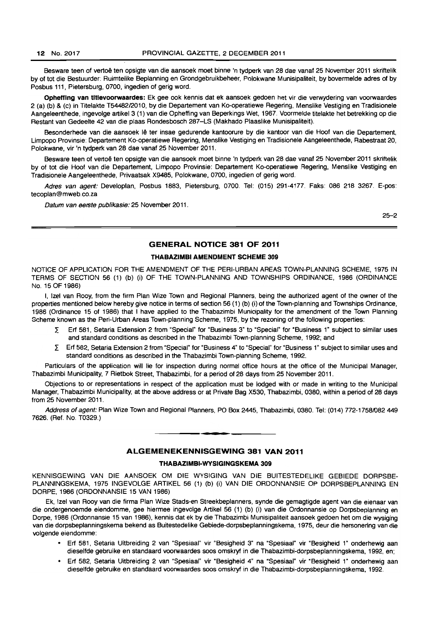Besware teen of vertoe ten opsigte van die aansoek moet binne 'n tydperk van 28 dae vanaf 25 November 2011 skriftelik by of tot die 8estuurder: Ruimtelike Beplanning en Grondgebruikbeheer, Polokwane Munisipaliteit, by bovermelde adres of by Posbus 111, Pietersburg, 0700, ingedien of gerig word.

Ophefflng van tltlevoorwaardes: Ek gee ook kennis dat ek aansoek gedoen het vir die verwydering van voorwaardes 2 (a) (b) & (c) in Titelakte T5448212010, by die Departement van Ko-operatiewe Regering, Menslike Vestiging en Tradisionele Aangeleenthede, ingevolge artikel3 (1) van die Opheffing van 8eperkings Wet, 1967. Voormelde titelakte het betrekking op die Restant van Gedeelte 42 van die plaas Rondesbosch 287-LS (Makhado Plaaslike Munisipaliteit).

Besonderhede van die aansoek lê ter insae gedurende kantoorure by die kantoor van die Hoof van die Departement, Limpopo Provinsie: Departement Ko-operatiewe Regering, Menslike Vestiging en Tradisionele Aangeleenthede, Rabestraat 20, Polokwane. vir 'n tydperk van 28 dae vanaf 25 November 2011.

Besware teen of vertoe ten opsigte van die aansoek moet binne 'n tydperk van 28 dae vanaf 25 November 2011 skriftelik by of tot die Hoof van die Departement, Limpopo Provinsie: Departement Ko-operatiewe Regering. Menslike Vestiging en Tradisionele Aangeleenthede, Privaatsak X9485, Polokwane. 0700, ingedien of gerig word.

Adres van agent: Developlan. Posbus 1883, Pietersburg, 0700. Tel: (015) 291-4177. Faks: 086 218 3267. E-pos: tecoplan@mweb.co.za

Datum van eerste publikasie: 25 November 2011.

25-2

# GENERAL NOTICE 381 OF 2011

### THABAZIMBI AMENDMENT SCHEME 309

NOTICE OF APPLICATION FOR THE AMENDMENT OF THE PERI-URBAN AREAS TOWN-PLANNING SCHEME, 1975 IN TERMS OF SECTION 56 (1) (b) (i) OF THE TOWN-PLANNING AND TOWNSHIPS ORDINANCE, 1986 (ORDINANCE No. 15 OF 1986)

I, Izel van Rooy. from the firm Plan Wize Town and Regional Planners, being the authorized agent of the owner of the properties mentioned below hereby give notice in terms of section 56 (1) (b) (i) of the Town-planning and Townships Ordinance, 1986 (Ordinance 15 of 1986) that I have applied to the Thabazimbi Municipality for the amendment of the Town Planning Scheme known as the Peri-Urban Areas Town-planning Scheme, 1975, by the rezoning of the following properties:

- $\Sigma$  Erf 581, Setaria Extension 2 from "Special" for "Business 3" to "Special" for "Business 1" subject to similar uses and standard conditions as described in the Thabazimbl Town-planning Scheme, 1992; and
- *L* Erf 582, Setaria Extension 2 from "Special" for "Business 4" to "SpeCial" for "Business 1" subject to similar uses and standard conditions as described in the Thabazimbi Town-planning Scheme, 1992.

Particulars of the application will lie for inspection during normal office hours at the office of the Municipal Manager, Thabazimbi Municipality. 7 Rietbok Street, Thabazimbi, for a period of 28 days from 25 November 2011.

Objections to or representations in respect of the application must be lodged with or made in writing to the Municipal Manager. Thabazimbi Municipality, at the above address or at Private Bag X530, Thabazimbi. 0380. within a period of 28 days from 25 November 2011.

Address of agent: Plan Wize Town and Regional Planners, PO Box 2445, Thabazimbi, 0380. Tel: (014) 772-1758/082 449 7626. (Ref. No. T0329.)

# ALGEMENEKENNISGEWING 381 VAN 2011

**•** 

# THABAZIMBI-WVSIGINGSKEMA 309

KENNISGEWING VAN DIE AANSOEK OM DIE WYSIGING VAN DIE BUITESTEDELIKE GEBIEDE DORPSBE-PLANNtNGSKEMA, 1975 INGEVOLGE ARTIKEL 56 (1) (b) (i) VAN DIE ORDONNANSIE OP DORPSBEPLANNING EN DORPE. 1986 (ORDONNANSIE 15 VAN 1986)

Ek, Izel van Rooy van die firma Plan Wize Stads-en Streekbeplanners, synde die gemagtigde agent van die eienaar van die ondergenoemde eiendomme, gee hiermee ingevolge Artikel 56 (1) (b) (i) van die Ordonnansie op Dorpsbeplanning en Dorpe. 1986 (Ordonnansie 15 van 1986), kennis dat ek by die Thabazimbi Munisipaliteit aansoek gedoen het om die wysiging van die dorpsbeplanningskema bekend as Buitestedelike Gebiede-dorpsbeplanningskema. 1975, deur die hersonering van die volgende eiendomme:

- Erf 581. Setaria Uitbreiding 2 van "Spesiaal" vir "8esigheid 3" na ·Spesiaal" vir "Besigheid 1" onderhewig aan dieselfde gebruike en standaard voorwaardes soos omskryt in die Thabazimbi-dorpsbeplanningskema. 1992, en;
- Erf 582. Setaria Uitbreiding 2 van ·Spesiaal" vir "8esigheid 4" na "Spesiaal" vir "Besigheid 1" onderhewig aan dieselfde gebruike en standaard voorwaardes soos omskryt in die Thabazimbi-dorpsbeplanningskema, 1992.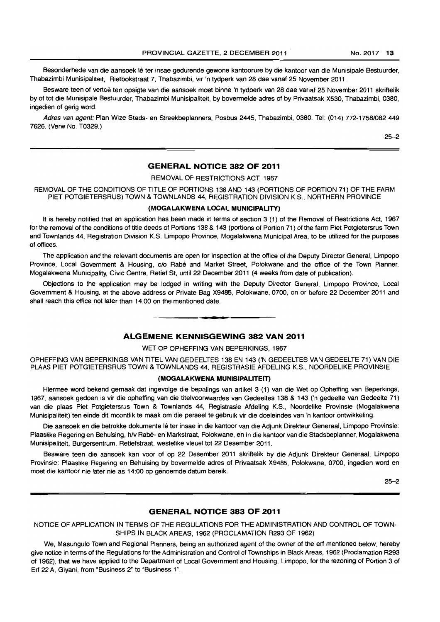Besonderhede van die aansoek lê ter insae gedurende gewone kantoorure by die kantoor van die Munisipale Bestuurder, Thabazimbi Munisipaliteit, Rietbokstraat 7, Thabazimbi, vir 'n tydperk van 28 dae vanaf 25 November 2011.

Besware teen of vertoë ten opsigte van die aansoek moet binne 'n tydperk van 28 dae vanaf 25 November 2011 skriftelik by of tot die Munisipale Bestuurder, Thabazimbi Munisipaliteit, by bovermelde adres of by Privaatsak X530, Thabazimbi, 0380, ingedien of gerig word.

Adres van agent: Plan Wize Stads- en Streekbeplanners, Posbus 2445, Thabazimbi, 0380. Tel: (014) 772-1758/082 449 7626. (Verw No. T0329.)

25-2

# GENERAL NOTICE 382 OF 2011

REMOVAL OF RESTRICTIONS ACT, 1967

REMOVAL OF THE CONDITIONS OF TITLE OF PORTIONS 138 AND 143 (PORTIONS OF PORTION 71) OF THE FARM PIET POTGIETERSRUS) TOWN & TOWNLANDS 44, REGISTRATION DIVISION KS., NORTHERN PROVINCE

# (MOGALAKWENA LOCAL MUNICIPALITY)

It is hereby notified that an application has been made in terms of section 3 (1) of the Removal of Restrictions Act, 1967 for the removal of the conditions of title deeds of Portions 138 & 143 (portions of Portion 71) of the farm Piet Potgietersrus Town and Townlands 44, Registration Division K.S. Limpopo Province, Mogalakwena Municipal Area, to be utilized for the purposes of offices.

The application and the relevant documents are open for inspection at the office of the Deputy Director General, Limpopo Province, Local Government & Housing, c/o Rabé and Market Street, Polokwane and the office of the Town Planner, Mogalakwena Municipality, Civic Centre, Retief St, until 22 December 2011 (4 weeks from date of publication).

Objections to the application may be lodged in writing with the Deputy Director General, Limpopo Province, Local Government & Housing, at the above address or Private Bag X9485, Polokwane, 0700, on or before 22 December 2011 and shall reach this office not later than 14:00 on the mentioned date. . **-.** 

# ALGEMENE KENNISGEWING 382 VAN 2011

WET OP OPHEFFING VAN BEPERKINGS, 1967

OPHEFFING VAN BEPERKINGS VAN TITEL VAN GEDEELTES 138 EN 143 ('N GEDEELTES VAN GEDEELTE 71) VAN DIE PLAAS PIET POTGIETERSRUS TOWN & TOWNLANDS 44, REGISTRASIE AFDELING K.S., NOORDELIKE PROVINSIE

### (MOGALAKWENA MUNISIPALITEIT)

Hiermee word bekend gemaak dat ingevolge die bepalings van artikel 3 (1) van die Wet op Opheffing van Beperkings, 1967, aansoek gedoen is vir die opheffing van die titelvoorwaardes van Gedeeltes 138 & 143 ('n gedeelte van Gedeelte 71) van die plaas Piet Potgietersrus Town & Townlands 44, Registrasie Afdeling K.S., Noordelike Provinsie (Mogalakwena Munisipaliteit) ten einde dit moontlik te maak om die perseel te gebruik vir die doeleindes van 'n kantoor ontwikkeling.

Die aansoek en die betrokke dokumente Ie ter insae in die kantoor van die Adjunk Direkteur Generaal, Limpopo Provinsie: Plaaslike Regering en Behuising, h/v Rabé- en Markstraat, Polokwane, en in die kantoor van die Stadsbeplanner, Mogalakwena Munisipaliteit, Burgersentrum, Retiefstraat, westelike vleuel tot 22 Desember 2011.

Besware teen die aansoek kan voor of op 22 Desember 2011 skriftelik by die Adjunk Direkteur Generaal, Limpopo Provinsie: Plaaslike Regering en Behuising by bovermelde adres of Privaatsak X9485, Polokwane, 0700, ingedien word en moet die kantoor nie later nie as 14:00 op genoemde datum bereik.

 $25 - 2$ 

# GENERAL NOTICE 383 OF 2011

NOTICE OF APPLICATION IN TERMS OF THE REGULATIONS FOR THE ADMINISTRATION AND CONTROL OF TOWN-SHIPS IN BLACK AREAS, 1962 (PROCLAMATION R293 OF 1962)

We, Masungulo Town and Regional Planners, being an authorized agent of the owner of the ert mentioned below. hereby give notice in terms of the Regulations for the Administration and Control of Townships in Black Areas, 1962 (Proclamation R293 of 1962), that we have applied to the Department of Local Government and Housing, Limpopo, for the rezoning of Portion 3 of Ert 22 A. Giyani. from "Business 2" to "Business 1".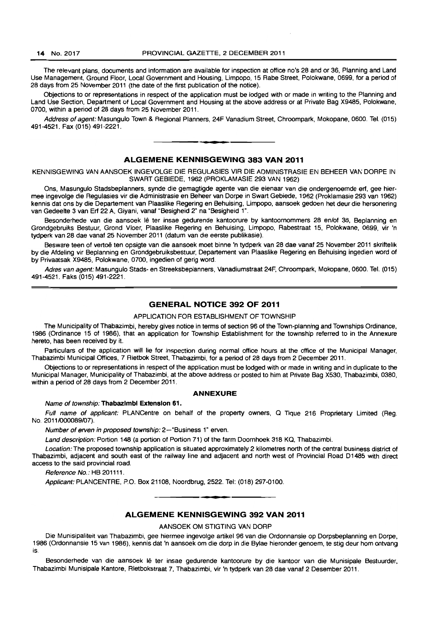The relevant plans, documents and information are available for inspection at office no's 28 and or 36, Planning and Land Use Management, Ground Floor, Local Government and Housing, Limpopo, 15 Rabe Street, Polokwane, 0699, for a period of 28 days from 25 November 2011 (the date of the first publication of the notice).

Objections to or representations in respect of the application must be lodged with or made in writing to the Planning and Land Use Section, Department of Local Government and Housing at the above address or at Private Bag X9485, Polokwane, 0700, within a period of 28 days from 25 November 2011.

Address of agent: Masungulo Town & Regional Planners, 24F Vanadium Street, Chroompark, Mokopane, 0600. Tel. (015) 491-4521. Fax (015) 491-2221. . **-.** 

# **ALGEMENE KENNISGEWING 383 VAN 2011**

KENNISGEWING VAN AANSOEK INGEVOLGE DIE REGULASIES VIR DIE ADMINISTRASIE EN BEHEER VAN DORPE IN SWART GEBIEDE, 1962 (PROKLAMASIE 293 VAN 1962)

Ons, Masungulo Stadsbeplanners, synde die gemagtigde agente van die eienaar van die ondergenoemde ert, gee hiermee ingevolge die Regulasies vir die Administrasie en Beheer van Dorpe in Swart Gebiede, 1962 (Proklamasie 293 van 1962) kennis dat ons by die Departement van Plaaslike Regering en Behuising, Limpopo, aansoek gedoen het deur die hersonering van Gedeelte 3 van Ert 22 A, Giyani, vanaf "Besigheid 2" na "Besigheid 1".

Besonderhede van die aansoek lê ter insae gedurende kantoorure by kantoornommers 28 en/of 36, Beplanning en Grondgebruiks Bestuur, Grond Vloer, Plaaslike Regering en Behuising, Limpopo, Rabestraat 15, Polokwane, 0699, vir 'n tydperk van 28 dae vanaf 25 November 2011 (datum van die eerste publikasie).

Besware teen of vertoe ten opsigte van die aansoek moet binne 'n tydperk van 28 dae vanaf 25 November 2011 skriftelik by die Afdeling vir Beplanning en Grondgebruiksbestuur, Departement van Plaaslike Regering en Behuising ingedien word of by Privaatsak X9485 , Polokwane, 0700, ingedien of gerig word.

Adres van agent: Masungulo Stads- en Streeksbeplanners, Vanadiumstraat 24F, Chroompark, Mokopane, 0800. Tel. (015) 491-4521, Faks (015) 491-2221.

# **GENERAL NOTICE 392 OF 2011**

# APPLICATION FOR ESTABLISHMENT OF TOWNSHIP

The Municipality of Thabazimbi, hereby gives notice in terms of section 96 of the Town-planning and Townships Ordinance, 1986 (Ordinance 15 of 1986), that an application for Township Establishment for the township referred to in the Annexure hereto, has been received by it.

Particulars of the application will lie for inspection during normal office hours at the office of the Municipal Manager, Thabazimbi Municipal Offices, 7 Rietbok Street, Thabazimbi, for a period of 28 days from 2 December 2011.

Objections to or representations in respect of the application must be lodged with or made in writing and in duplicate to the Municipal Manager, Municipality of Thabazimbi, at the above address or posted to him at Private Bag X530, Thabazimbi, 0380, within a period of 28 days from 2 December 2011.

### **ANNEXURE**

#### Name of township: **Thabazlmbl Extension 61.**

Full name of applicant: PLANCentre on behalf of the property owners, Q Tique 216 Proprietary Limited (Reg. No. 2011/000089/07).

Number of erven in proposed township: 2-"Business 1" erven.

Land description: Portion 148 (a portion of Portion 71) of the farm Doornhoek 318 KQ, Thabazimbi.

Location: The proposed township application is situated approximately 2 kilometres north of the central business district of Thabazimbi, adjacent and south east of the railway line and adjacent and north west of Provincial Road 01485 with direct access to the said provincial road.

Reference No.: HB 201111.

Applicant: PLANCENTRE, P.O. Box 21108, Noordbrug, 2522. Tel: (018) 297-0100. . **-.** 

# **ALGEMENE KENNISGEWING 392 VAN 2011**

AANSOEK OM STIGTING VAN DORP

Die Munisipaliteit van Thabazimbi, gee hiermee ingevolge artikel 96 van die Ordonnansie op Dorpsbeplanning en Dorpe, 1986 (Ordonnansie 15 van 1986), kennis dat 'n aansoek am die dorp in die Bylae hieronder genoem, te stig deur hom ontvang is.

Besonderhede van die aansoek lê ter insae gedurende kantoorure by die kantoor van die Munisipale Bestuurder, Thabazimbi Munisipale Kantore, Rietbokstraat 7, Thabazimbi, vir 'n tydperk van 28 dae vanaf 2 Desember 2011.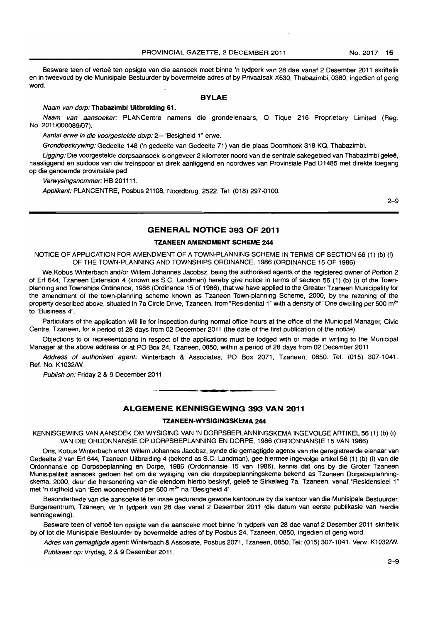Besware teen of vertoe ten opsigte van die aansoek moet binne 'n tydperk van 28 dae vanaf 2 Desember 2011 skriftelik en in tweevoud by die Munisipale Bestuurder by bovermelde adres of by Privaatsak X530, Thabazimbi, 0380, ingedien of gerig word.

#### **BYLAE**

#### Naam van dorp: **Thabazlmbl Ultbreldlng 61.**

Naam van aansoeker: PLANCentre namens die grondeienaars, Q Tique 216 Proprietary Limited (Reg. No. 2011/000089/07).

Aantal erwe in die voorgestelde dorp: 2-"Besigheid 1" erwe.

Grondbeskrywing: Gedeelte 148 ('n gedeelte van Gedeelte 71) van die plaas Doornhoek 318 KQ, Thabazimbi.

Ligging: Die voorgestelde dorpsaansoek is ongeveer 2 kilometer noord van die sentrale sakegebied van Thabazimbi geleë, naasliggend en suidoos van die treinspoor en direk aanliggend en noordwes van Provinsiale Pad 01485 met direkte toegan9 op die genoemde provinsiale pad.

Verwysingsnommer: HB 201111.

Applikant: PLANCENTRE, Posbus 21108, Noordbrug, 2522. Tel: (018) 297.0100.

 $2 - 9$ 

# **GENERAL NOTICE 393 OF 2011**

# **TZANEEN AMENDMENT SCHEME 244**

NOTICE OF APPLICATION FOR AMENDMENT OF A TOWN-PLANNING SCHEME IN TERMS OF SECTION 56 (1) (b) (i) OF THE TOWN-PLANNING AND TOWNSHIPS ORDINANCE, 1986 (ORDINANCE 15 OF 1986)

We,Kobus Winterbach and/or Willem Johannes Jacobsz, being the authorised agents of the registered owner of Portion 2 of Erf 644, Tzaneen Extension 4 (known as S.C. Landman) hereby give notice in terms of section 56 (1) (b) (i) of the Townplanning and Townships Ordinance, 1986 (Ordinance 15 of 1986), that we have applied to the Greater Tzaneen Municipality for the amendment of the town-planning scheme known as Tzaneen Town-planning Scheme, 2000, by the rezoning of the property described above, situated in 7a Circle Drive, Tzaneen, from "Residential 1" with a density of "One dwelling per 500 m<sup>2</sup>" to "Business 4".

Particulars of the application will lie for inspection during normal office hours at the office of the Municipal Manager, Civic Centre, Tzaneen, for a period of 28 days from 02 December 2011 (the date of the first publication of the notice).

Objections to or representations in respect of the applications must be lodged with or made in writing to the Municipal Manager at the above address or at PO Box 24, Tzaneen, 0850, within a period of 28 days from 02 December 2011.

Address of authorised agent: Winterbach & Associates, PO Box 2071, Tzaneen, 0850. Tel: (015) 307-1041. Ref. No. K1032/W.

Publish on: Friday 2 & 9 December 2011.

# **ALGEMENE KENNISGEWING 393 VAN 2011**

. **- .** 

# **TZANEEN-WYSIGINGSKEMA 244**

KENNISGEWING VAN AANSOEK OM WYSIGING VAN 'N DORPSBEPLANNINGSKEMA INGEVOLGE ARTIKEL 56 (1) (b) (i) VAN DIE ORDONNANSIE OP DORPSBEPLANNING EN DORPE, 1986 (ORDONNANSIE 15 VAN 1986)

Ons, Kobus Winterbach en/of Willem Johannes Jacobsz, synde die gemagtigde agente van die geregistreerde eienaar van Gedeelte 2 van Erf 644, Tzaneen Uitbreiding 4 (bekend as S.C. Landman), gee hiermee ingevolge artikel 56 (1) (b) (i) van die Ordonnansie op Dorpsbeplanning en Darpa, 1986 (Ordonnansie 15 van 1986), kennis dat ons by die Groter Tzaneen Munisipaliteit aansoek gedoen het om die wysiging van die dorpsbeplanningskema bekend as Tzaneen Dorpsbeplanningskema, 2000, deur die hersonering van die eiendom hierbo beskryf, geleë te Sirkelweg 7a, Tzaneen, vanaf "Residensieel 1" met 'n digtheid van "Een wooneenheid per 500 m<sup>2</sup>" na "Besigheid 4".

Besonderhede van die aansoeke lê ter insae gedurende gewone kantoorure by die kantoor van die Munisipale Bestuurder. Burgersentrum, Tzaneen, vir 'n tydperk van 28 dae vanaf 2 Desember 2011 (die datum van eerste publikasie van hierdie kennisgewing).

Besware teen of vertoe ten opsigte van die aansoeke moet binne 'n tydperk van 28 dae vanaf 2 Desember 2011 skriftelik by of tot die Munisipale Bestuurder by bovermelde adres of by Posbus 24, Tzaneen, 0850, ingedien of gerig word.

Adres van gemagtigde agent: Winterbach & Assosiate, Posbus 2071, Tzaneen, 0850. Tel: (015) 307-1041. Verw: K1032/W. Publiseer op: Vrydag, 2 & 9 Desember 2011.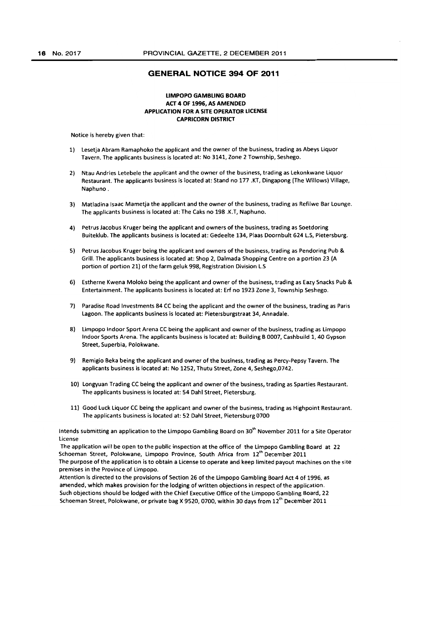### GENERAL NOTICE 394 OF 2011

## LIMPOPO GAMBLING BOARD ACT 4 OF 1996, AS AMENDED APPLICATION FOR A SITE OPERATOR LICENSE CAPRICORN DISTRICT

Notice is hereby given that:

- 1) lesetja Abram Ramaphoko the applicant and the owner of the business, trading as Abeys liquor Tavern. The applicants business is located at: No 3141, Zone 2 Township, Seshego.
- 2) Ntau Andries letebele the applicant and the owner of the business, trading as Lekonkwane liquor Restaurant. The applicants business is located at: Stand no 177 .KT, Dingapong (The Willows) Village, Naphuno.
- 3} Matladina Isaac Mametja the applicant and the owner of the business, trading as Refilwe Bar Lounge. The applicants business is located at: The Caks no 198 .K.T, Naphuno.
- 4) Petrus Jacobus Kruger being the applicant and owners of the business, trading as Soetdoring Buiteklub. The applicants business is located at: Gedeelte 134, Plaas Doornbult 624 l.S, Pietersburg.
- S) Petrus Jacobus Kruger being the applicant and owners of the business, trading as Pendoring Pub & Grill. The applicants business is located at: Shop 2, Dalmada Shopping Centre on a portion 23 (A portion of portion 21) of the farm geluk 998, Registration Division L.S
- 6) Estherne Kwena Moloko being the applicant and owner of the business, trading as Eazy Snacks Pub & Entertainment. The applicants business is located at: Erf no 1923 Zone 3, Township Seshego.
- 7) Paradise Road Investments 84 CC being the applicant and the owner of the business, trading as Paris Lagoon. The applicants business is located at: Pietersburgstraat 34, Annadale.
- 8) Limpopo Indoor Sport Arena CC being the applicant and owner of the business, trading as Limpopo Indoor Sports Arena. The applicants business is located at: Building B 0007, Cashbuild 1, 40 Gypson Street, Superbia, Polokwane.
- 9) Remigio Beka being the applicant and owner of the business, trading as Percy·Pepsy Tavern. The applicants business is located at: No 1252, Thutu Street, Zone 4, Seshego,0742.
- 10) Longyuan Trading CC being the applicant and owner of the business, trading as Sparties Restaurant. The applicants business is located at: 54 Dahl Street, Pietersburg.
- 11) Good Luck Liquor CC being the applicant and owner of the business, trading as Highpoint Restaurant. The applicants business is located at: 52 Dahl Street, Pietersburg 0700

Intends submitting an application to the Limpopo Gambling Board on 30<sup>th</sup> November 2011 for a Site Operator license

The application will be open to the public inspection at the office of the Limpopo Gambling Board at 22 Schoeman Street, Polokwane, Limpopo Province, South Africa from *1i"* December 2011 The purpose of the application is to obtain a License to operate and keep limited payout machines on the site premises in the Province of Limpopo.

Attention is directed to the provisions of Section 26 of the Umpopo Gambling Board Act 4 of 1996, as amended, which makes provision for the lodging of written objections in respect of the application. Such objections should be lodged with the Chief Executive Office of the Limpopo Gambling Board, 22 Schoeman Street, Polokwane, or private bag X 9520, 0700, within 30 days from 12<sup>th</sup> December 2011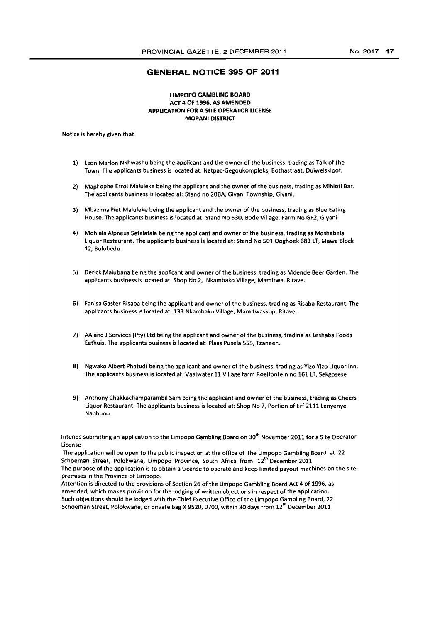# **GENERAL NOTICE 395 OF 2011**

## **LIMPOPO GAMBLING BOARD ACT 4 OF 1996, AS AMENDED APPLICATION FOR A SITE OPERATOR LICENSE MOPANI DISTRICT**

Notice is hereby given that:

- 1) leon Marlon Nkhwashu being the applicant and the owner of the business, trading as Talk of the Town. The applicants business is located at: Natpac-Gegoukompleks, Bothastraat, Duiwelskloof.
- 2) Maphophe Errol Maluleke being the applicant and the owner of the business, trading as Mihloti Bar. The applicants business is located at: Stand no 20BA, Giyani Township, Giyani.
- 3) Mbazima Piet Maluleke being the applicant and the owner of the business, trading as Blue Eating House. The applicants business is located at: Stand No 530, Bode Village, Farm No GR2, Giyani.
- 4) Mohlala Alpheus Sefalafala being the applicant and owner of the business, trading as Moshabela Liquor Restaurant. The applicants business is located at: Stand No 501 Ooghoek 683 LT, Mawa Block 12, Bolobedu.
- 5) Derick Malubana being the applicant and owner of the business, trading as Mdende Beer Garden. The applicants business is located at: Shop No 2, Nkambako Village, Mamitwa, Ritave.
- 6) Fanisa Gaster Risaba being the applicant and owner of the business, trading as Risaba Restaurant. The applicants business is located at: 133 Nkambako Village, Mamitwaskop, Ritave.
- 1) AA and J Services (Pty) Ltd being the applicant and owner of the business, trading as leshaba Foods Eethuis. The applicants business is located at: Plaas Pusela 555, Tzaneen.
- 8) Ngwako Albert Phatudi being the applicant and owner of the business, trading as Yizo Yizo Liquor Inn. The applicants business is located at: Vaalwater 11 Village farm Roelfontein no 161 LT, Sekgosese
- 9) Anthony Chakkachamparambil Sam being the applicant and owner of the business, trading as Cheers Liquor Restaurant. The applicants business is located at: Shop No 7, Portion of Erf 2111 Lenyenye Naphuno.

Intends submitting an application to the Limpopo Gambling Board on 30<sup>th</sup> November 2011 for a Site Operator license

The application will be open to the public inspection at the office of the Limpopo Gambling Board at 22 Schoeman Street, Polokwane, Limpopo Province, South Africa from  $12<sup>th</sup>$  December 2011 The purpose of the application is to obtain a License to operate and keep limited payout machines on the site premises in the Province of Limpopo.

Attention is directed to the provisions of Section 26 of the Limpopo Gambling Board Act 4 of 1996, as amended, which makes provision for the lodging of written objections in respect of the application. Such objections should be lodged with the Chief Executive Office of the limpopo Gambling Board, 22 Schoeman Street, Polokwane, or private bag X 9520, 0700, within 30 days from 12<sup>th</sup> December 2011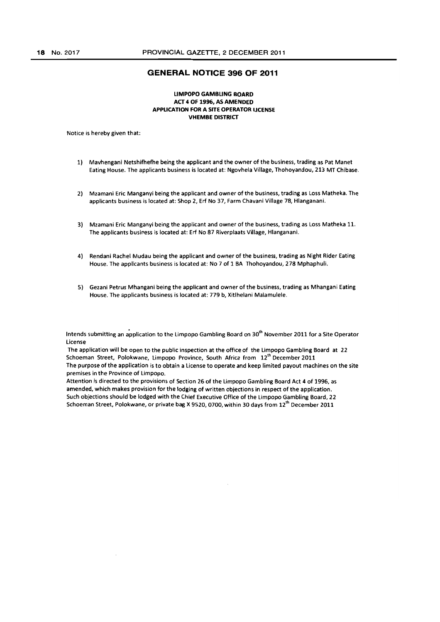### **GENERAL NOTICE 396 OF 2011**

# **UMPOPO GAMBLING BOARD ACT 4 OF 1996, AS AMENDED APPLICATION FOR A SITE OPERATOR LICENSE VHEMBE DISTRICT**

Notice is hereby given that:

- 1) Mavhengani Netshifhefhe being the applicant and the owner of the business, trading as Pat Manet Eating House. The applicants business is located at: Ngovhela Village, Thohoyandou, 213 MT Chibase.
- 2) Mzamani Eric Manganyi being the applicant and owner of the business, trading as Loss Matheka. The applicants business is located at: Shop 2, Erf No 37, Farm Chavani Village 78, Hlanganani.
- 3) Mzamani Eric Manganyi being the applicant and owner of the business, trading as loss Matheka 11. The applicants business is located at: Erf No 87 Riverplaats Village, Hlanganani.
- 4) Rendani Rachel Mudau being the applicant and owner of the business, trading as Night Rider Eating House. The applicants business is located at: No 7 of 1 BA Thohoyandou, 278 Mphaphuli.
- S) Gezani Petrus Mhangani being the applicant and owner of the business, trading as Mhangani Eating House. The applicants business is located at: 779 b, Xitlhelani Malamulele.

Intends submitting an application to the limpopo Gambling Board on 30th November 2011 for a Site Operator license

The application will be open to the public inspection at the office of the Limpopo Gambling Board at 22 Schoeman Street, Polokwane, Limpopo Province, South Africa from 12<sup>th</sup> December 2011 The purpose of the application is to obtain a License to operate and keep limited payout machines on the site premises in the Province of limpopo.

Attention is directed to the provisions of Section 26 of the limpopo Gambling Board Act 4 of 1996. as amended. which makes provision for the lodging of written objections in respect of the application. Such objections should be lodged with the Chief Executive Office of the Limpopo Gambling Board. 22 Schoeman Street, Polokwane, or private bag X 9520, 0700, within 30 days from 12<sup>th</sup> December 2011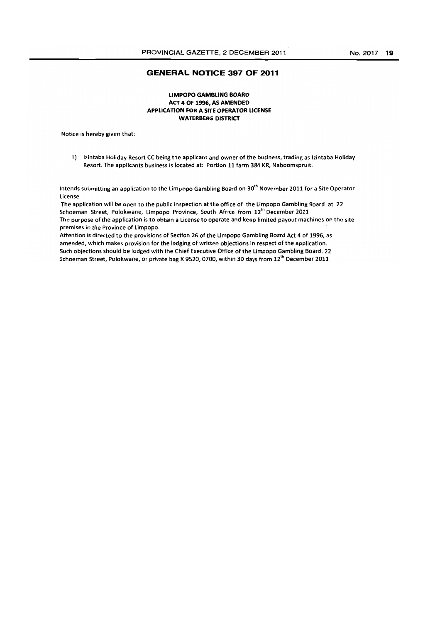# **GENERAL NOTICE 397 OF 2011**

# **LIMPOPO GAMBLING BOARD ACT 4 OF 1996, AS AMENDED APPLICATION FOR A SITE OPERATOR LICENSE WATERBERG DISTRICT**

Notice is hereby given that:

1) Izintaba Holiday Resort CC being the applicant and owner of the business, trading as Izintaba Holiday Resort. The applicants business is located at: Portion 11 farm 384 KR, Naboomspruit.

Intends submitting an application to the Limpopo Gambling Board on 30<sup>th</sup> November 2011 for a Site Operator License

The application will be open to the public inspection at the office of the Limpopo Gambling Board at 22 Schoeman Street, Polokwane, Limpopo Province, South Africa from 12<sup>th</sup> December 2011 The purpose of the application is to obtain a License to operate and keep limited payout machines on the site premises in the Province of Limpopo.

Attention is directed to the provisions of Section 26 of the limpopo Gambling Board Act 4 of 1996, as amended, which makes provision for the lodging of written objections in respect of the application. Such objections should be lodged with the Chief Executive Office of the Limpopo Gambling Board, 22 Schoeman Street, Polokwane, or private bag X 9520, 0700, within 30 days from 12<sup>th</sup> December 2011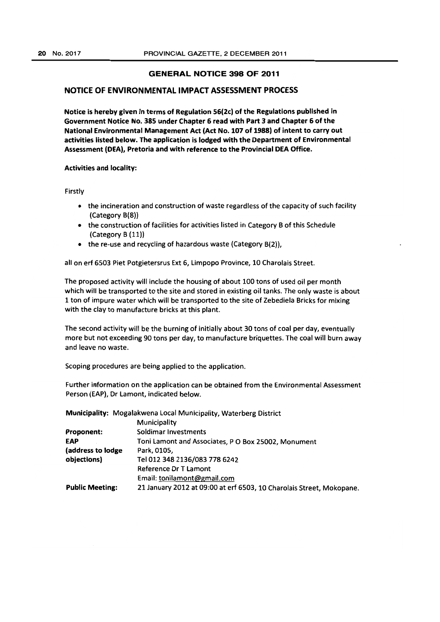# GENERAL NOTICE 398 OF 2011

# NOTICE OF ENVIRONMENTAL IMPACT ASSESSMENT PROCESS

Notice is hereby given in terms of Regulation 56(2c) of the Regulations published in Government Notice No. 385 under Chapter 6 read with Part 3 and Chapter 6 of the National Environmental Management Act (Act No. 107 of 1988) of intent to carry out activities listed below. The application is lodged with the Department of Environmental Assessment (DEA), Pretoria and with reference to the Provincial DEA Office.

# Activities and locality:

Firstly

- the incineration and construction of waste regardless of the capacity of such facility (Category 8(8))
- the construction of facilities for activities listed in Category 8 of this Schedule (Category B (11))
- the re-use and recycling of hazardous waste (Category B(2)),

all on erf 6503 Piet Potgietersrus Ext 6, Limpopo Province, 10 Charolais Street.

The proposed activity will include the housing of about 100 tons of used oil per month which will be transported to the site and stored in existing oil tanks. The only waste is about 1 ton of impure water which will be transported to the site of Zebediela Bricks for mixing with the clay to manufacture bricks at this plant.

The second activity will be the burning of initially about 30 tons of coal per day, eventually more but not exceeding 90 tons per day, to manufacture briquettes. The coal will burn away and leave no waste.

Scoping procedures are being applied to the application.

Further information on the application can be obtained from the Environmental Assessment Person (EAP), Dr lamont, indicated below.

Municipality: Mogalakwena local Municipality, Waterberg District

|                        | Municipality                                                         |
|------------------------|----------------------------------------------------------------------|
| <b>Proponent:</b>      | Soldimar Investments                                                 |
| <b>EAP</b>             | Toni Lamont and Associates, P O Box 25002, Monument                  |
| (address to lodge      | Park. 0105.                                                          |
| objections)            | Tel 012 348 2136/083 778 6242                                        |
|                        | Reference Dr T Lamont                                                |
|                        | Email: tonilamont@gmail.com                                          |
| <b>Public Meeting:</b> | 21 January 2012 at 09:00 at erf 6503, 10 Charolais Street, Mokopane. |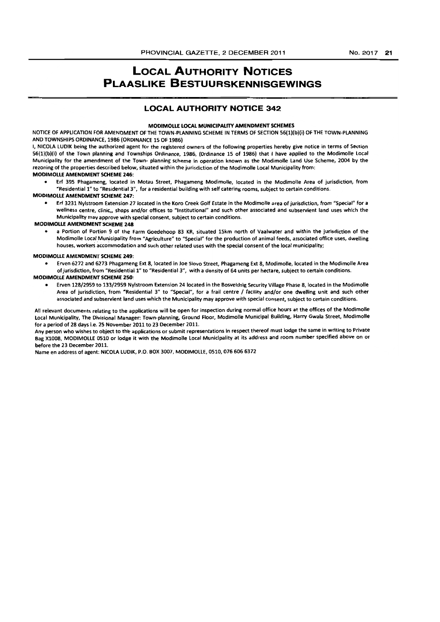# **LOCAL AUTHORITY NOTICES PLAASLIKE BESTUURSKENNISGEWINGS**

# **LOCAL AUTHORITY NOTICE 342**

#### MODIMOLLE LOCAL MUNICIPALITY AMENDMENT SCHEMES

NOTICE OF APPLICATION FOR AMENDMENT OF THE TOWN-PLANNING SCHEME IN TERMS OF SECTION 56(1)(b)(i) OF THE TOWN-PLANNING AND TOWNSHIPS ORDINANCE, 1986 (ORDINANCE 15 OF 1986)

I, NICOLA LUDIK being the authorized agent for the registered owners of the following properties hereby give notice in terms of Section 56(1)(b)(l) of the Town planning and Townships Ordinance, 1986, (Ordinance 15 of 1986) that I have applied to the Modimolle local Municipality for the amendment of the Town- planning scheme in operation known as the Modimolle Land Use Scheme, 2004 by the rezoning of the properties described below, situated within the jurisdiction of the Modimolle local Municipality from:

# MODIMOLLE AMENDMENT SCHEME 246:

• Erf 395 Phagameng, located in Motau Street, Phagameng Modimolle, located in the Modimolle Area of jurisdiction, from "Residential 1" to "Residential 3", for a residential building with self catering rooms, subject to certain conditions.

# MODIMOLLE AMENDMENT SCHEME 247:

• Erf 3231 Nylstroom Extension 27 located in the Koro Creek Golf Estate in the Modimolle area of jurisdiction, from "Special" for a wellness centre, clinic,, shops and/or offices to "Institutional" and such other associated and subservient land uses which the Municipality may approve with special consent, subject to certain conditions.

### MODIMOLLE AMENDMENT SCHEME 248

a Portion of Portion 9 of the Farm Goedehoop 83 KR, situated 15km north of Vaalwater and within the jurisdiction of the Modimolle Local Murlioipality from "Agriculture" to "Special" for the production of animal feeds, associated office uses, dwelling houses, workers accommodation and such other related uses with the special consent of the local municipality;

#### MODIMOLlE AMENDMENT SCHEME 249:

- Erven 6272 and 6273 Phagameng Ext 8, located in Joe Siovo Street, Phagameng Ext 8, Modimolle, located in the Modimolle Area of Jurisdiction, from "Residential 1" to "Residential 3", with a density of 64 units per hectare, subject to certain conditions. MODIMOLLE AMENDMENT SCHEME 250:
	- Erven 128/2959 to 133/2959 Nylstroom Extension 24 located in the Bosveldsig Security Village Phase 8, located in the Modimolle Area of jurisdiction, from "Residential 3" to "Special", for a frail centre / facility and/or one dwelling unit and such other associated and subservient land uses which the Municipality may approve with special consent, subject to certain conditions.

All relevant documents relating to the applications will be open for inspection during normal office hours at the offices of the Modimolle Local Municipality, The Divisional Manager: Town-planning, Ground Floor, Modimolle Municipal Building, Harry Gwala Street, Modimolle for a period of 28 days i.e. 25 November 2011 to 23 December 2011.

Any person who wishes to object to the applications or submit representations in respect thereof must lodge the same in writing to Private Bag X1008, MODIMOllE OSlO or lodge It with the Modimolle local Municipality at its address and room number specified above on or before the 23 December 2011.

Name en address of agent: NICOLA LUDIK, P.O. BOX 3007, MODIMOLLE, 0510, 076 606 6372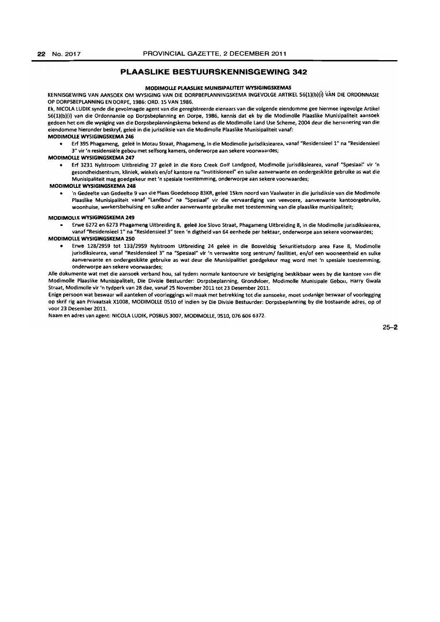# **PLAASLIKE BESTUURSKENNISGEWING** 342

#### MODIMOLLf PlAASUKE MUNISIPALITEIT WYSIGINGSKEMAS

KENNISGEWING VAN AANSOEK OM WYSIGING VAN DIE DORPBEPLANNINGSKEMA INGEVOLGE ARTIKEL 56(1)(b)(i) VAN DIE ORDONNASIE OP OORPSBEPIANNING EN OORPE, 1986: ORO. lS VAN 1986.

Ek, NICOLA LUDIK synde die gevolmagde agent van die geregistreerde eienaars van die volgende eiendomme gee hiermee ingevolge Artikel 56(1)(b)(i) van die Ordonnansie op Dorpsbeplanning en Dorpe, 1986, kennis dat ek by die Modimolle Plaaslike Munisipaliteit aansoek gedoen het om die wysiging van die Dorpsbeplanningskema bekend as die Modimolle Land Use Scheme, 2004 deur die hersonering van die eiendomme hieronder beskryf, geleë in die jurisdiksie van die Modimolle Plaaslike Munisipaliteit vanaf:

#### MODIMOLLf WYSIGINGSK£MA 246

Erf 395 Phagameng, geleë in Motau Straat, Phagameng, in die Modimolle jurisdiksiearea, vanaf "Residensieel 1" na "Residensieel 3" vir 'n residensiële gebou met selfsorg kamers, onderworpe aan sekere voorwaardes;

#### MODIMOLLf WYSIGINGSK£MA 247

• Erf 3231 Nylstroom Uitbreiding 27 gelee in die Koro Creek Golf Landgoed, Modimolle jurisdiksiearea, vanaf "Spesiaal" vir 'n gesondheidsentrum, kllnlek, winkels en/of kantore na "Institisioneel" en sulke aanverwante en ondergeskikte gebruike as wat die Munislpaliteit mag goedgekeur met 'n spesiale toestemming, onderworpe aan sekere voorwaardes;

#### MODIMOLLf WYSIGINGSKEMA 248

• 'n Gedeelte van Gedeelte 9 van die Plaas Goedehoop 83KR, gelee lSkm noord van Vaalwater in die jurisdiksie van die Modlmolle Plaaslike Munisipaliteit vanaf "Landbou" na "Spesiaal" vir die vervaardiging van veevoere, aanverwante kantoorgebruike, woonhuise, werkersbehulsing en sulke ander aanverwante gebruike met toestemming van die plaaslike munisipaliteit;

#### MODIMOLlE WYSIGINGSKEMA 249

• Erwe 6272 en 6273 Phagameng Uitbreiding 8, gelee Joe Siovo Straat, Phagameng Uitbreiding 8, in die Modimolle jurisdiksiearea, vanaf "Residensieel 1" na "Residensieel 3" teen 'n digtheid van 64 eenhede per hektaar, onderworpe aan sekere voorwaardes;

#### MODIMOLLE WYSIGINGSKEMA 250

• Erwe 128/2959 tot 133/2959 Nylstroom Uitbreiding 24 gelee in die Bosveldsig Sekuritietsdorp area Fase 8, Modimolle jurisdiksiearea, vanaf "Resldensieel 3" na "Spesiaal" vir 'n verswakte sorg sentrum/ fasilitiet, en/of een wooneenheid en sulke aanverwante en ondergeskikte gebruike as wat deur die Munisipalltiet goedgekeur mag word met 'n spesiale toestemming, onderworpe aan sekere voorwaardes;

Aile dokumente wat met die aansoek verband hou, sal tydens normale kantoorure vir besigtiging beskikbaar wees by die kantore van die Modimolle Plaaslike Munislpalltelt, Die Oivisle Bestuurder: Dorpsbeplanning, Grondvloer, Modimolle Munisipale Gebou, Harry Gwala Straat, Modimolle vir 'n tydperk van 28 dae, vanef 25 November 2011 tot 23 Desember 2011.

Enige persoon wat beswaar wil aanteken of voorleggings wil maak met betrekking tot die aan50eke, moet sodanige beswaar of voorlegging op skrif rig aan Privaatsak X1008, MODIMOLLE 0510 of indien by Die Divisie Bestuurder: Dorpsbeplanning by die bostaande adres, op of voor 23 Desember 2011.

Naam en adres van agent: NICOlA lUDIK, POSBUS 3007, MODIMOllE, 0510, 076 606 6372.

25-2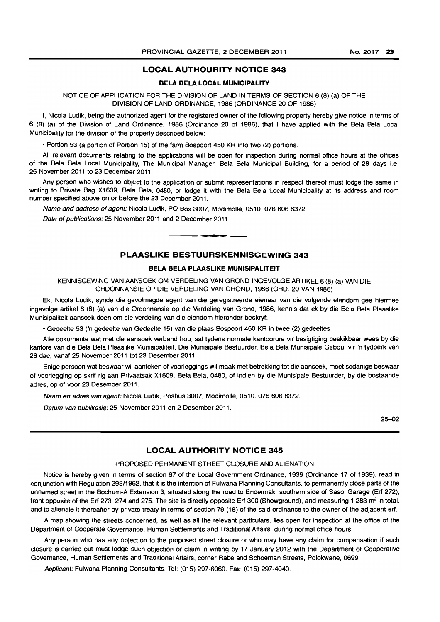# **LOCAL AUTHOURITY NOTICE 343**

# **BELA BELA LOCAL MUNICIPALITY**

# NOTICE OF APPLICATION FOR THE DIVISION OF LAND IN TERMS OF SECTION 6 (8) (a) OF THE DIVISION OF LAND ORDINANCE, 1986 (ORDINANCE 20 OF 1986)

I, Nicola Ludik, being the authorized agent for the registered owner of the following property hereby give notice in terms of 6 (8) (a) of the Division of Land Ordinance, 1986 (Ordinance 20 of 1986). that I have applied with the Bela Bela Local Municipality for the division of the property described below:

• Portion 53 (a portion of Portion 15) of the farm Bospoort 450 KR into two (2) portions.

All relevant documents relating to the applications will be open for inspection during normal office hours at the offices of the Bela Bela Local Municipality, The Municipal Manager, Bela Bela Municipal Building, for a period of 28 days i.e. 25 November 2011 to 23 December 2011.

Any person who wishes to object to the application or submit representations in respect thereof must lodge the same in writing to Private Bag X1609, Bela Bela, 0480, or lodge it with the Bela Bela Local Municipality at its address and room number specified above on or before the 23 December 2011.

Name and address of agent: Nicola Ludik, PO Box 3007, Modimolle, 0510. 0766066372.

Date of publications: 25 November 2011 and 2 December 2011. . **- .** 

# **PLAASLIKE BESTUURSKENNISGEWING 343**

## **BELA BELA PLAASLIKE MUNISIPALITEIT**

KENNISGEWING VAN AANSOEK OM VERDELING VAN GROND INGEVOLGE ARTIKEL 6 (8) (a) VAN DIE ORDONNANSIE OP DIE VERDELING VAN GROND, 1986 (ORD. 20 VAN 1986)

Ek, Nicola Ludik, synde die gevolmagde agent van die geregistreerde eienaar van die volgende eiendom gee hiermee ingevolge artikel 6 (8) (a) van die Ordonnansie op die Verdeling van Grond, 1986, kennis dat ek by die Bela Bela Plaaslike Munisipaliteit aansoek doen om die verdeling van die eiendom hieronder beskryf:

• Gedeelte 53 ('n gedeelte van Gedeelte 15) van die plaas Bospoort 450 KR in twee (2) gedeeltes.

Aile dokumente wat met die aansoek verband hou, sal tydens normale kantoorure vir besigtiging beskikbaar wees by die kantore van die Bela Bela Plaaslike Munisipaliteit, Die Munisipale Bestuurder, Bela Bela Munisipale Gebou, vir 'n tydperk van 28 dae, vanaf 25 November 2011 tot 23 Desember 2011.

Enige persoon wat beswaar wil aanteken of voorleggings wi! maak met betrekking tot die aansoek, moet sodanige beswaar of voorlegging op skrif rig aan Privaatsak Xl609, Bela Bela, 0480, of indien by die Munisipale Bestuurder, by die bostaande adres, op of voor 23 Desember 2011.

Naam en adres van agent: Nicola Ludik, Posbus 3007, Modimolle, 0510. 076 606 6372.

Datum van publikasie: 25 November 2011 en 2 Desember 2011.

25-02

### **LOCAL AUTHORITY NOTICE 345**

#### PROPOSED PERMANENT STREET CLOSURE AND ALIENATION

Notice is hereby given in terms of section 67 of the Local Government Ordinance, 1939 (Ordinance 17 of 1939), read in conjunction with Regulation *293/1962,* that it is the intention of Fulwana Planning Consultants, to permanently close parts of the unnamed street in the Bochum-A Extension 3, situated along the road to Endermak, southern side of Sasol Garage (Erf 272), front opposite of the Erf 273, 274 and 275. The site is directly opposite Erf 300 (Showground), and measuring 1 283 m<sup>2</sup> in total, and to alienate it thereafter by private treaty in terms of section 79 (18) of the said ordinance to the owner of the adjacent erf.

A map showing the streets concerned, as well as all the relevant particulars, lies open for inspection at the office of the Department of Cooperate Governance, Human Settlements and Traditional Affairs, during normal office hours.

Any person who has any objection to the proposed street closure or who may have any claim for compensation if such closure is carried out must lodge such objection or claim in writing by 17 January 2012 with the Department of Cooperative Governance, Human Settlements and Traditional Affairs, corner Rabe and Schoeman Streets, Polokwane, 0699.

Applicant: Fulwana Planning Consultants, Tel: (015) 297-6060. Fax: (015) 297-4040.